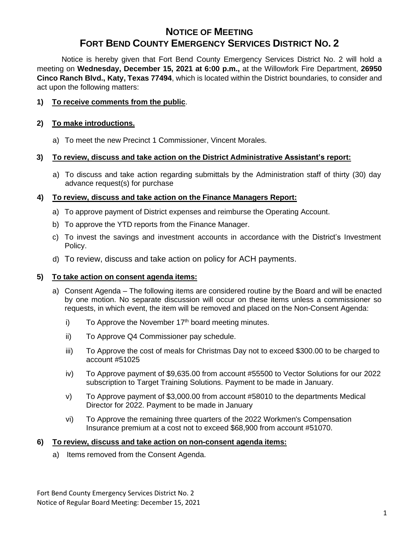# **NOTICE OF MEETING FORT BEND COUNTY EMERGENCY SERVICES DISTRICT NO. 2**

Notice is hereby given that Fort Bend County Emergency Services District No. 2 will hold a meeting on **Wednesday, December 15, 2021 at 6:00 p.m.,** at the Willowfork Fire Department, **26950 Cinco Ranch Blvd., Katy, Texas 77494**, which is located within the District boundaries, to consider and act upon the following matters:

## **1) To receive comments from the public**.

### **2) To make introductions.**

a) To meet the new Precinct 1 Commissioner, Vincent Morales.

## **3) To review, discuss and take action on the District Administrative Assistant's report:**

a) To discuss and take action regarding submittals by the Administration staff of thirty (30) day advance request(s) for purchase

## **4) To review, discuss and take action on the Finance Managers Report:**

- a) To approve payment of District expenses and reimburse the Operating Account.
- b) To approve the YTD reports from the Finance Manager.
- c) To invest the savings and investment accounts in accordance with the District's Investment Policy.
- d) To review, discuss and take action on policy for ACH payments.

#### **5) To take action on consent agenda items:**

- a) Consent Agenda The following items are considered routine by the Board and will be enacted by one motion. No separate discussion will occur on these items unless a commissioner so requests, in which event, the item will be removed and placed on the Non-Consent Agenda:
	- i) To Approve the November  $17<sup>th</sup>$  board meeting minutes.
	- ii) To Approve Q4 Commissioner pay schedule.
	- iii) To Approve the cost of meals for Christmas Day not to exceed \$300.00 to be charged to account #51025
	- iv) To Approve payment of \$9,635.00 from account #55500 to Vector Solutions for our 2022 subscription to Target Training Solutions. Payment to be made in January.
	- v) To Approve payment of \$3,000.00 from account #58010 to the departments Medical Director for 2022. Payment to be made in January
	- vi) To Approve the remaining three quarters of the 2022 Workmen's Compensation Insurance premium at a cost not to exceed \$68,900 from account #51070.

#### **6) To review, discuss and take action on non-consent agenda items:**

a) Items removed from the Consent Agenda.

Fort Bend County Emergency Services District No. 2 Notice of Regular Board Meeting: December 15, 2021